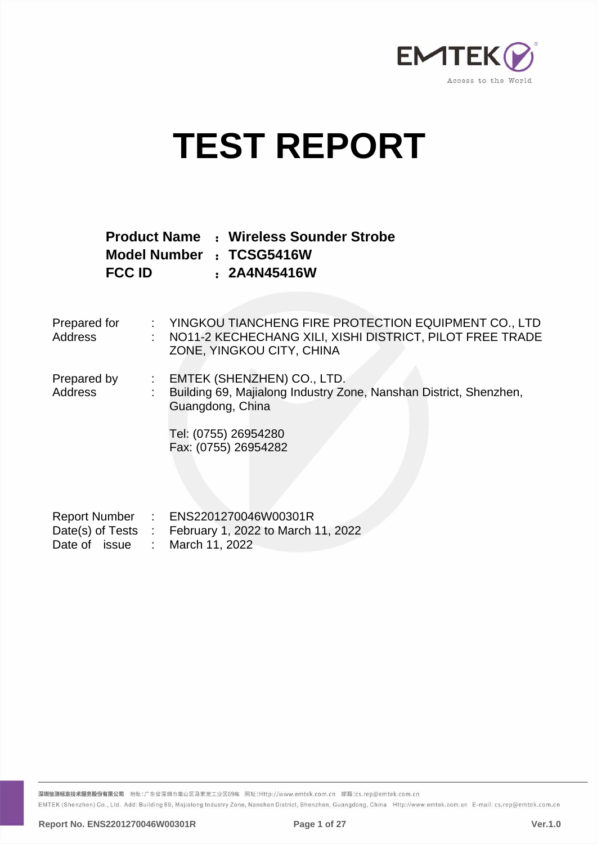

# **TEST REPORT**

**Product Name** :**Wireless Sounder Strobe Model Number** :**TCSG5416W FCC ID** :**2A4N45416W**

| Prepared for<br>Address | : YINGKOU TIANCHENG FIRE PROTECTION EQUIPMENT CO., LTD<br>: NO11-2 KECHECHANG XILI, XISHI DISTRICT, PILOT FREE TRADE<br>ZONE, YINGKOU CITY, CHINA                     |
|-------------------------|-----------------------------------------------------------------------------------------------------------------------------------------------------------------------|
| Prepared by<br>Address  | : EMTEK (SHENZHEN) CO., LTD.<br>Building 69, Majialong Industry Zone, Nanshan District, Shenzhen,<br>Guangdong, China<br>Tel: (0755) 26954280<br>Fax: (0755) 26954282 |
| Date(s) of Tests :      | Report Number : ENS2201270046W00301R<br>February 1, 2022 to March 11, 2022                                                                                            |

Date of issue : March 11, 2022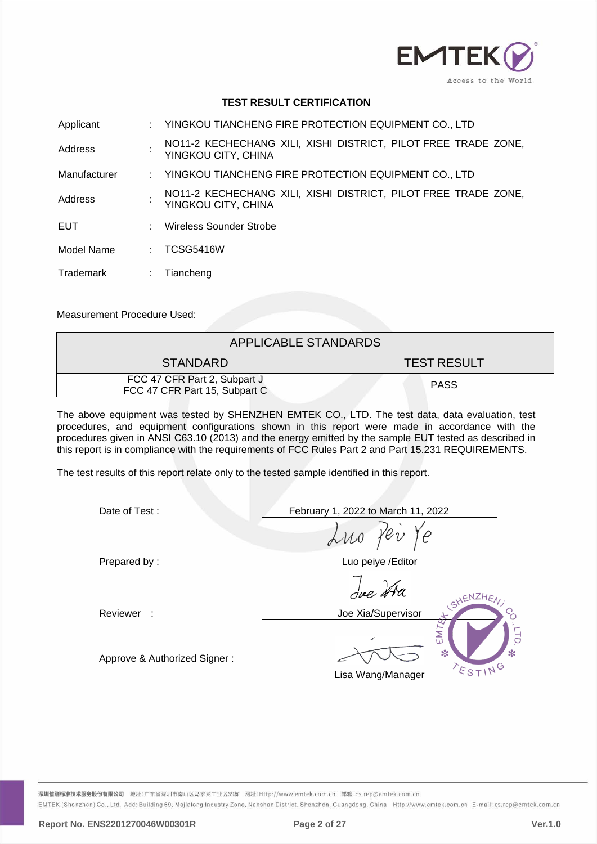

### **TEST RESULT CERTIFICATION**

| Applicant    | YINGKOU TIANCHENG FIRE PROTECTION EQUIPMENT CO., LTD                                  |
|--------------|---------------------------------------------------------------------------------------|
| Address      | NO11-2 KECHECHANG XILI, XISHI DISTRICT, PILOT FREE TRADE ZONE,<br>YINGKOU CITY, CHINA |
| Manufacturer | YINGKOU TIANCHENG FIRE PROTECTION EQUIPMENT CO., LTD                                  |
| Address      | NO11-2 KECHECHANG XILI, XISHI DISTRICT, PILOT FREE TRADE ZONE,<br>YINGKOU CITY, CHINA |
| EUT          | Wireless Sounder Strobe                                                               |
| Model Name   | <b>TCSG5416W</b>                                                                      |
| Trademark    | Tiancheng                                                                             |

Measurement Procedure Used:

| APPLICABLE STANDARDS                                          |                    |
|---------------------------------------------------------------|--------------------|
| <b>STANDARD</b>                                               | <b>TEST RESULT</b> |
| FCC 47 CFR Part 2, Subpart J<br>FCC 47 CFR Part 15, Subpart C | <b>PASS</b>        |

The above equipment was tested by SHENZHEN EMTEK CO., LTD. The test data, data evaluation, test procedures, and equipment configurations shown in this report were made in accordance with the procedures given in ANSI C63.10 (2013) and the energy emitted by the sample EUT tested as described in this report is in compliance with the requirements of FCC Rules Part 2 and Part 15.231 REQUIREMENTS.

The test results of this report relate only to the tested sample identified in this report.

| Date of Test:                | February 1, 2022 to March 11, 2022 |
|------------------------------|------------------------------------|
|                              | Luo Per Ye                         |
| Prepared by:                 | Luo peiye / Editor                 |
|                              | Jue tha<br>SHENZHEN,               |
| Reviewer :                   | Joe Xia/Supervisor                 |
| Approve & Authorized Signer: | EM7<br>LTD.<br>$\ast$<br>∗         |
|                              | Lisa Wang/Manager                  |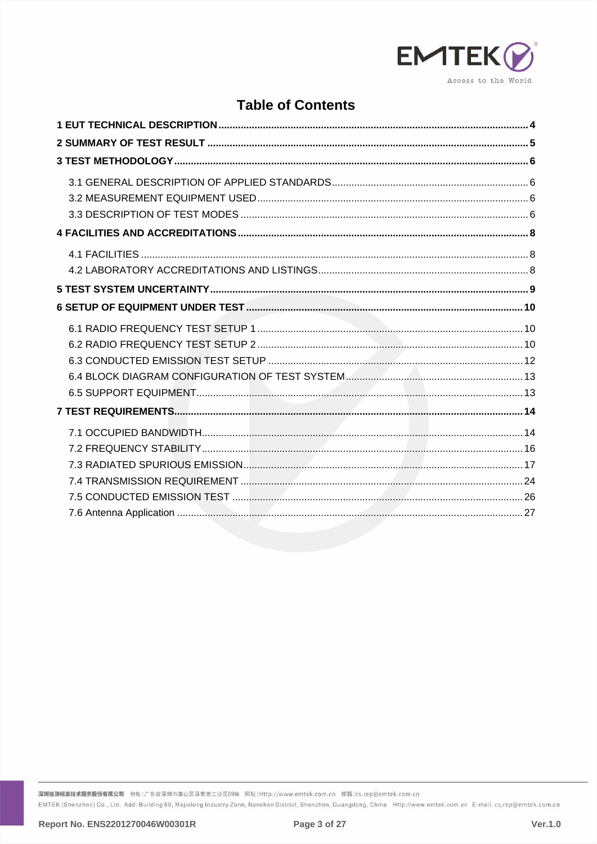

# **Table of Contents**

深圳信测标准技术服务股份有限公司 地址:广东省深圳市南山区马家龙工业区69栋 网址:Http://www.emtek.com.cn 邮箱:cs.rep@emtek.com.cn EMTEK (Shenzhen) Co., Ltd. Add: Building 69, Majialong Industry Zone, Nanshan District, Shenzhen, Guangdong, China Http://www.emtek.com.cn E-mail: cs.rep@emtek.com.cn

Report No. ENS2201270046W00301R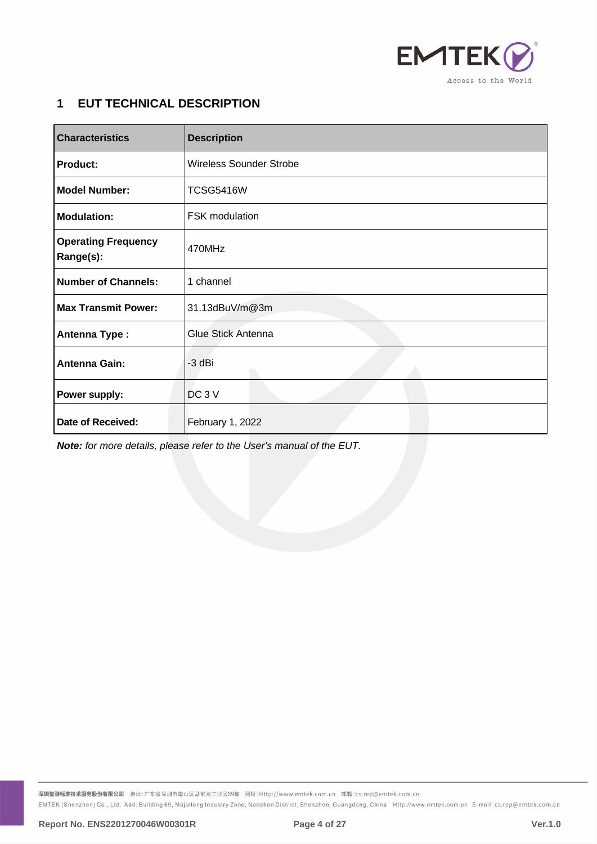

# <span id="page-3-0"></span>**1 EUT TECHNICAL DESCRIPTION**

| <b>Characteristics</b>                         | <b>Description</b>             |
|------------------------------------------------|--------------------------------|
| <b>Product:</b>                                | <b>Wireless Sounder Strobe</b> |
| Model Number:                                  | <b>TCSG5416W</b>               |
| <b>Modulation:</b>                             | FSK modulation                 |
| <b>Operating Frequency</b><br><b>Range(s):</b> | 470MHz                         |
| Number of Channels:                            | 1 channel                      |
| Max Transmit Power:                            | 31.13dBuV/m@3m                 |
| <b>Antenna Type:</b>                           | <b>Glue Stick Antenna</b>      |
| <b>Antenna Gain:</b>                           | -3 dBi                         |
| Power supply:                                  | DC <sub>3</sub> V              |
| <b>Date of Received:</b>                       | February 1, 2022               |

*Note: for more details, please refer to the User's manual of the EUT.*

深圳信测标准技术服务股份有限公司 地址:广东省深圳市南山区马家龙工业区69栋 网址:Http://www.emtek.com.cn 邮箱:cs.rep@emtek.com.cn EMTEK (Shenzhen) Co., Ltd. Add: Building 69, Majialong Industry Zone, Nanshan District, Shenzhen, Guangdong, China Http://www.emtek.com.cn E-mail: cs.rep@emtek.com.cn

**Report No. ENS2201270046W00301R Page 4 of 27 Ver.1.0**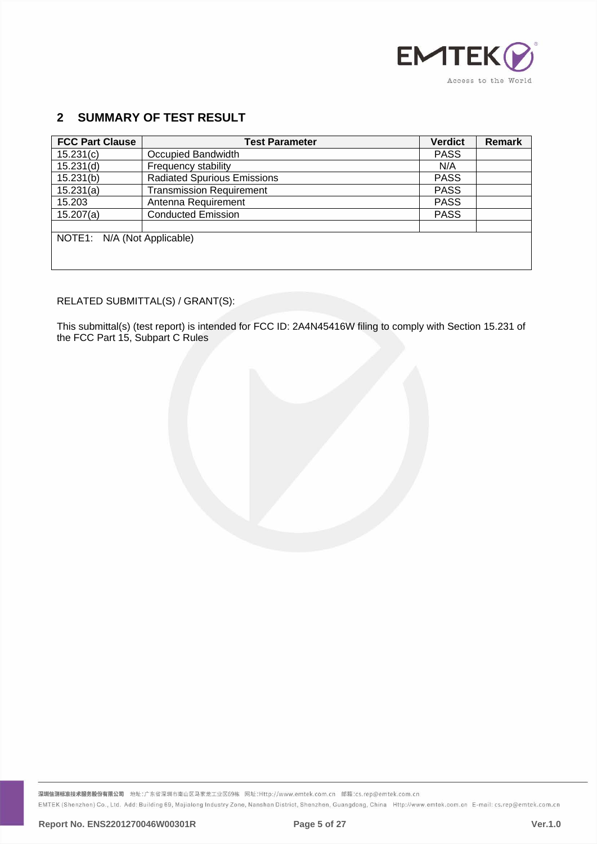

# <span id="page-4-0"></span>**2 SUMMARY OF TEST RESULT**

| <b>FCC Part Clause</b>      | <b>Test Parameter</b>              | <b>Verdict</b> | <b>Remark</b> |
|-----------------------------|------------------------------------|----------------|---------------|
| 15.231(c)                   | Occupied Bandwidth                 | <b>PASS</b>    |               |
| 15.231(d)                   | Frequency stability                | N/A            |               |
| 15.231(b)                   | <b>Radiated Spurious Emissions</b> | <b>PASS</b>    |               |
| 15.231(a)                   | <b>Transmission Requirement</b>    | <b>PASS</b>    |               |
| 15.203                      | Antenna Requirement                | <b>PASS</b>    |               |
| 15.207(a)                   | <b>Conducted Emission</b>          | <b>PASS</b>    |               |
|                             |                                    |                |               |
| NOTE1: N/A (Not Applicable) |                                    |                |               |
|                             |                                    |                |               |
|                             |                                    |                |               |

# RELATED SUBMITTAL(S) / GRANT(S):

This submittal(s) (test report) is intended for FCC ID: 2A4N45416W filing to comply with Section 15.231 of the FCC Part 15, Subpart C Rules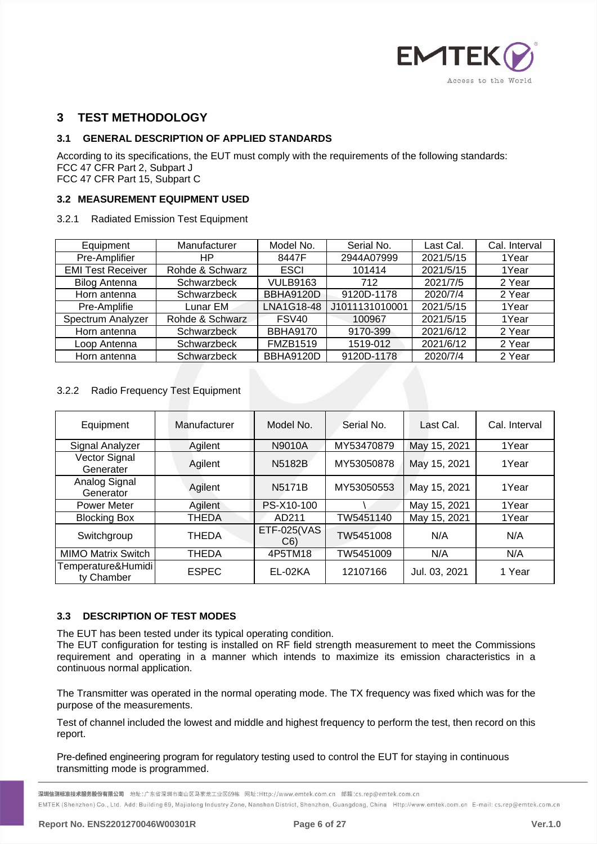

# <span id="page-5-0"></span>**3 TEST METHODOLOGY**

# <span id="page-5-1"></span>**3.1 GENERAL DESCRIPTION OF APPLIED STANDARDS**

According to its specifications, the EUT must comply with the requirements of the following standards: FCC 47 CFR Part 2, Subpart J FCC 47 CFR Part 15, Subpart C

# <span id="page-5-2"></span>**3.2 MEASUREMENT EQUIPMENT USED**

#### 3.2.1 Radiated Emission Test Equipment

| Equipment                | Manufacturer    | Model No.        | Serial No.     | Last Cal. | Cal. Interval |
|--------------------------|-----------------|------------------|----------------|-----------|---------------|
| Pre-Amplifier            | HР              | 8447F            | 2944A07999     | 2021/5/15 | 1Year         |
| <b>EMI Test Receiver</b> | Rohde & Schwarz | <b>ESCI</b>      | 101414         | 2021/5/15 | 1Year         |
| <b>Bilog Antenna</b>     | Schwarzbeck     | <b>VULB9163</b>  | 712            | 2021/7/5  | 2 Year        |
| Horn antenna             | Schwarzbeck     | BBHA9120D        | 9120D-1178     | 2020/7/4  | 2 Year        |
| Pre-Amplifie             | Lunar EM        | LNA1G18-48       | J1011131010001 | 2021/5/15 | 1Year         |
| Spectrum Analyzer        | Rohde & Schwarz | FSV40            | 100967         | 2021/5/15 | 1Year         |
| Horn antenna             | Schwarzbeck     | <b>BBHA9170</b>  | 9170-399       | 2021/6/12 | 2 Year        |
| Loop Antenna             | Schwarzbeck     | <b>FMZB1519</b>  | 1519-012       | 2021/6/12 | 2 Year        |
| Horn antenna             | Schwarzbeck     | <b>BBHA9120D</b> | 9120D-1178     | 2020/7/4  | 2 Year        |

# 3.2.2 Radio Frequency Test Equipment

| Equipment                        | Manufacturer | Model No.                | Serial No. | Last Cal.     | Cal. Interval |
|----------------------------------|--------------|--------------------------|------------|---------------|---------------|
| Signal Analyzer                  | Agilent      | N9010A                   | MY53470879 | May 15, 2021  | 1Year         |
| Vector Signal<br>Generater       | Agilent      | N5182B                   | MY53050878 | May 15, 2021  | 1Year         |
| Analog Signal<br>Generator       | Agilent      | <b>N5171B</b>            | MY53050553 | May 15, 2021  | 1Year         |
| <b>Power Meter</b>               | Agilent      | PS-X10-100               |            | May 15, 2021  | 1Year         |
| <b>Blocking Box</b>              | <b>THEDA</b> | AD211                    | TW5451140  | May 15, 2021  | 1Year         |
| Switchgroup                      | THEDA        | <b>ETF-025(VAS</b><br>C6 | TW5451008  | N/A           | N/A           |
| <b>MIMO Matrix Switch</b>        | <b>THEDA</b> | 4P5TM18                  | TW5451009  | N/A           | N/A           |
| Temperature&Humidi<br>ty Chamber | <b>ESPEC</b> | EL-02KA                  | 12107166   | Jul. 03, 2021 | 1 Year        |

# <span id="page-5-3"></span>**3.3 DESCRIPTION OF TEST MODES**

The EUT has been tested under its typical operating condition.

The EUT configuration for testing is installed on RF field strength measurement to meet the Commissions requirement and operating in a manner which intends to maximize its emission characteristics in a continuous normal application.

The Transmitter was operated in the normal operating mode. The TX frequency was fixed which was for the purpose of the measurements.

Test of channel included the lowest and middle and highest frequency to perform the test, then record on this report.

Pre-defined engineering program for regulatory testing used to control the EUT for staying in continuous transmitting mode is programmed.

<mark>深圳信测标准技术服务股份有限公司</mark> 地址:广东省深圳市南山区马家龙工业区69栋 网址:Http://www.emtek.com.cn 邮箱:cs.rep@emtek.com.cn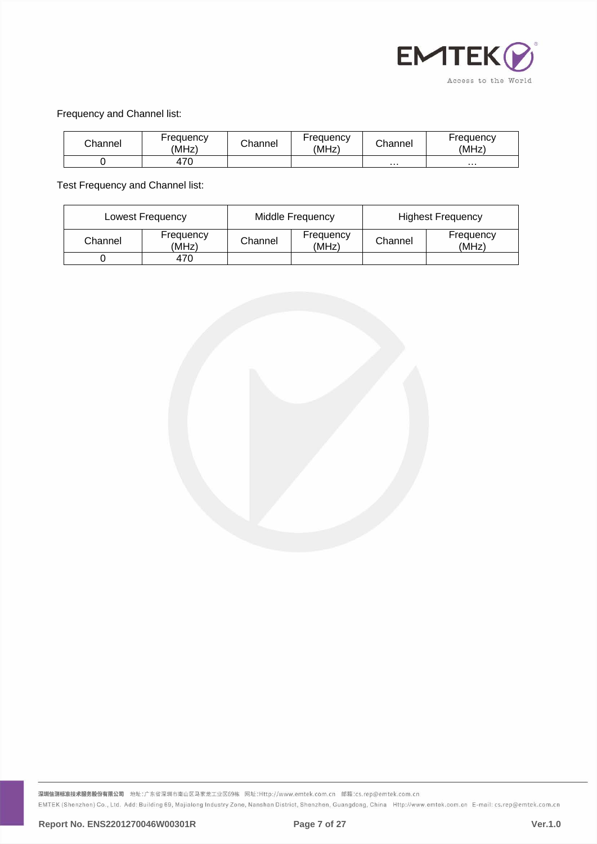

# Frequency and Channel list:

| Channel | Frequency<br>(MHz) | Channel | Frequency<br>(MHz) | Channel  | Frequency<br>(MHz) |
|---------|--------------------|---------|--------------------|----------|--------------------|
|         | 470                |         |                    | $\cdots$ | $\cdots$           |

Test Frequency and Channel list:

| Lowest Frequency |                    |         | Middle Frequency   | <b>Highest Frequency</b> |                    |
|------------------|--------------------|---------|--------------------|--------------------------|--------------------|
| Channel          | Frequency<br>(MHz) | Channel | Frequency<br>(MHz) | Channel                  | Frequency<br>(MHz) |
|                  | 470                |         |                    |                          |                    |

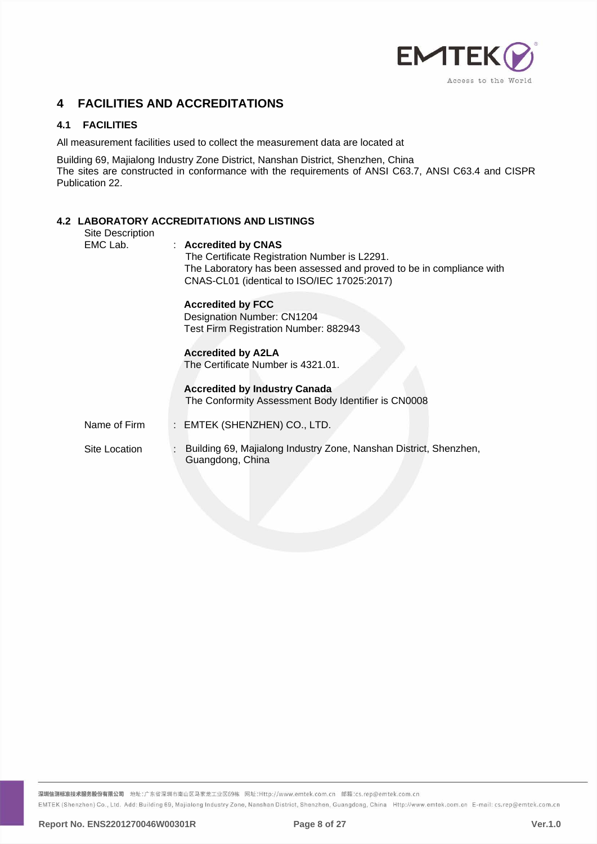

# <span id="page-7-0"></span>**4 FACILITIES AND ACCREDITATIONS**

# <span id="page-7-1"></span>**4.1 FACILITIES**

All measurement facilities used to collect the measurement data are located at

Building 69, Majialong Industry Zone District, Nanshan District, Shenzhen, China The sites are constructed in conformance with the requirements of ANSI C63.7, ANSI C63.4 and CISPR Publication 22.

# <span id="page-7-2"></span>**4.2 LABORATORY ACCREDITATIONS AND LISTINGS**

| <b>Site Description</b> | בסטווה שם שנושה טווסוויוטוויוס או נוסחה והשפט                                                                                                                                                |
|-------------------------|----------------------------------------------------------------------------------------------------------------------------------------------------------------------------------------------|
| EMC Lab.                | : Accredited by CNAS<br>The Certificate Registration Number is L2291.<br>The Laboratory has been assessed and proved to be in compliance with<br>CNAS-CL01 (identical to ISO/IEC 17025:2017) |
|                         | <b>Accredited by FCC</b>                                                                                                                                                                     |
|                         | Designation Number: CN1204                                                                                                                                                                   |
|                         | Test Firm Registration Number: 882943                                                                                                                                                        |
|                         | <b>Accredited by A2LA</b>                                                                                                                                                                    |
|                         | The Certificate Number is 4321.01.                                                                                                                                                           |
|                         | <b>Accredited by Industry Canada</b>                                                                                                                                                         |
|                         | The Conformity Assessment Body Identifier is CN0008                                                                                                                                          |
| Name of Firm            | : EMTEK (SHENZHEN) CO., LTD.                                                                                                                                                                 |
| Site Location           | Building 69, Majialong Industry Zone, Nanshan District, Shenzhen,<br>÷<br>Guangdong, China                                                                                                   |

深圳信测标准技术服务股份有限公司 地址:广东省深圳市南山区马家龙工业区69栋 网址:Http://www.emtek.com.cn 邮箱:cs.rep@emtek.com.cn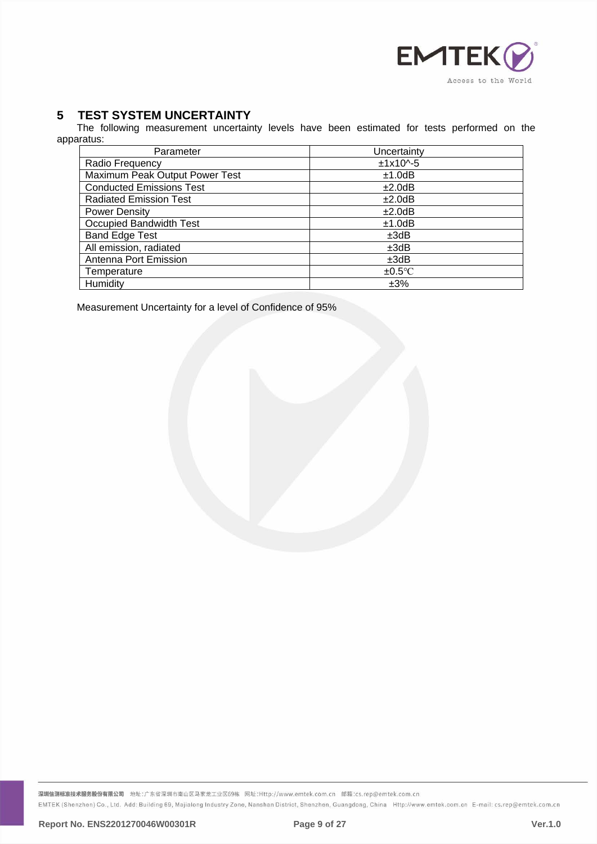

# <span id="page-8-0"></span>**5 TEST SYSTEM UNCERTAINTY**

The following measurement uncertainty levels have been estimated for tests performed on the apparatus:

| Parameter                       | Uncertainty    |
|---------------------------------|----------------|
| Radio Frequency                 | $±1x10^{(-5)}$ |
| Maximum Peak Output Power Test  | ±1.0dB         |
| <b>Conducted Emissions Test</b> | ±2.0dB         |
| <b>Radiated Emission Test</b>   | ±2.0dB         |
| <b>Power Density</b>            | ±2.0dB         |
| Occupied Bandwidth Test         | ±1.0dB         |
| <b>Band Edge Test</b>           | ±3dB           |
| All emission, radiated          | ±3dB           |
| Antenna Port Emission           | ±3dB           |
| Temperature                     | $\pm 0.5$ °C   |
| Humidity                        | ±3%            |

Measurement Uncertainty for a level of Confidence of 95%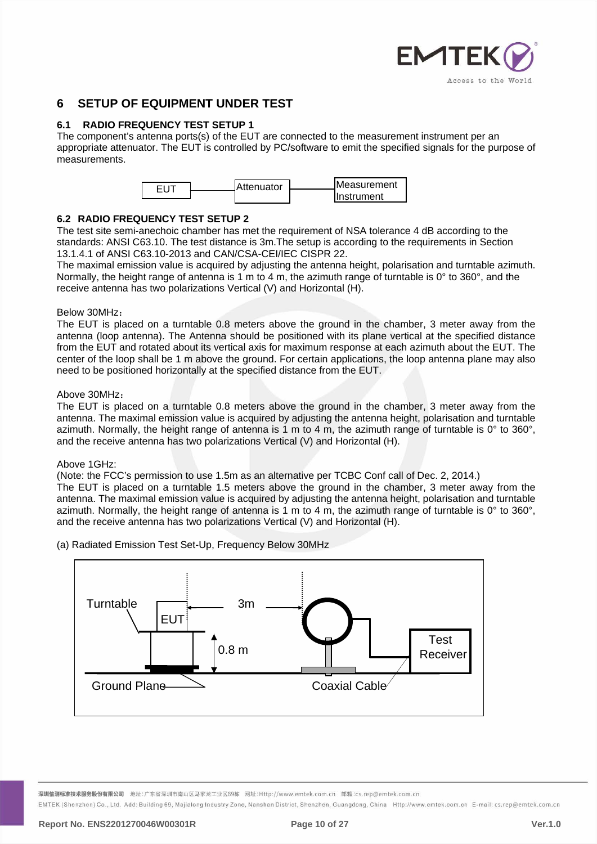

# <span id="page-9-0"></span>**6 SETUP OF EQUIPMENT UNDER TEST**

# <span id="page-9-1"></span>**6.1 RADIO FREQUENCY TEST SETUP 1**

The component's antenna ports(s) of the EUT are connected to the measurement instrument per an appropriate attenuator. The EUT is controlled by PC/software to emit the specified signals for the purpose of measurements.



# <span id="page-9-2"></span>**6.2 RADIO FREQUENCY TEST SETUP 2**

The test site semi-anechoic chamber has met the requirement of NSA tolerance 4 dB according to the standards: ANSI C63.10. The test distance is 3m.The setup is according to the requirements in Section 13.1.4.1 of ANSI C63.10-2013 and CAN/CSA-CEI/IEC CISPR 22.

The maximal emission value is acquired by adjusting the antenna height, polarisation and turntable azimuth. Normally, the height range of antenna is 1 m to 4 m, the azimuth range of turntable is 0° to 360°, and the receive antenna has two polarizations Vertical (V) and Horizontal (H).

#### Below 30MHz:

The EUT is placed on a turntable 0.8 meters above the ground in the chamber, 3 meter away from the antenna (loop antenna). The Antenna should be positioned with its plane vertical at the specified distance from the EUT and rotated about its vertical axis for maximum response at each azimuth about the EUT. The center of the loop shall be 1 m above the ground. For certain applications, the loop antenna plane may also need to be positioned horizontally at the specified distance from the EUT.

# Above 30MHz:

The EUT is placed on a turntable 0.8 meters above the ground in the chamber, 3 meter away from the antenna. The maximal emission value is acquired by adjusting the antenna height, polarisation and turntable azimuth. Normally, the height range of antenna is 1 m to 4 m, the azimuth range of turntable is 0° to 360°, and the receive antenna has two polarizations Vertical (V) and Horizontal (H).

# Above 1GHz:

(Note: the FCC's permission to use 1.5m as an alternative per TCBC Conf call of Dec. 2, 2014.)

The EUT is placed on a turntable 1.5 meters above the ground in the chamber, 3 meter away from the antenna. The maximal emission value is acquired by adjusting the antenna height, polarisation and turntable azimuth. Normally, the height range of antenna is 1 m to 4 m, the azimuth range of turntable is 0° to 360°, and the receive antenna has two polarizations Vertical (V) and Horizontal (H).

(a) Radiated Emission Test Set-Up, Frequency Below 30MHz



<mark>深圳信测标准技术服务股份有限公司</mark> 地址:广东省深圳市南山区马家龙工业区69栋 网址:Http://www.emtek.com.cn 邮箱:cs.rep@emtek.com.cn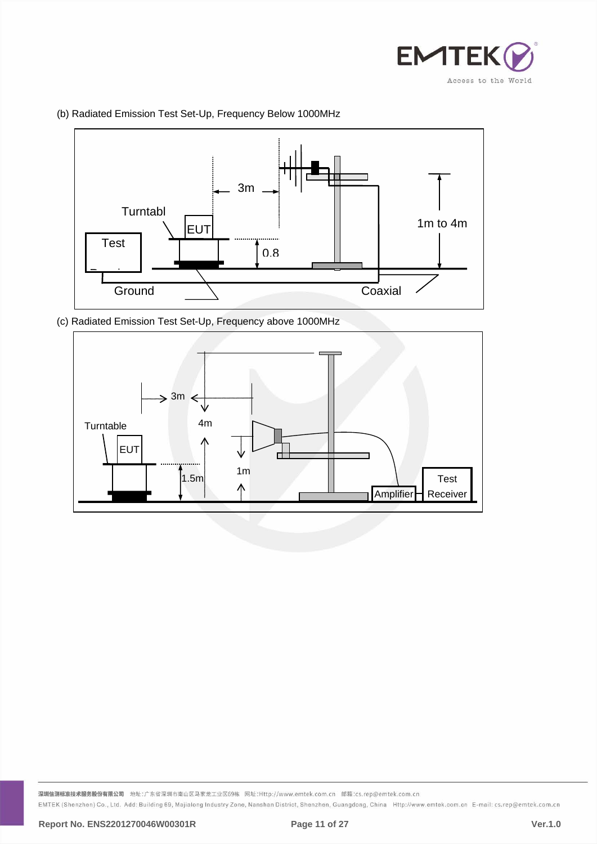



(b) Radiated Emission Test Set-Up, Frequency Below 1000MHz

(c) Radiated Emission Test Set-Up, Frequency above 1000MHz

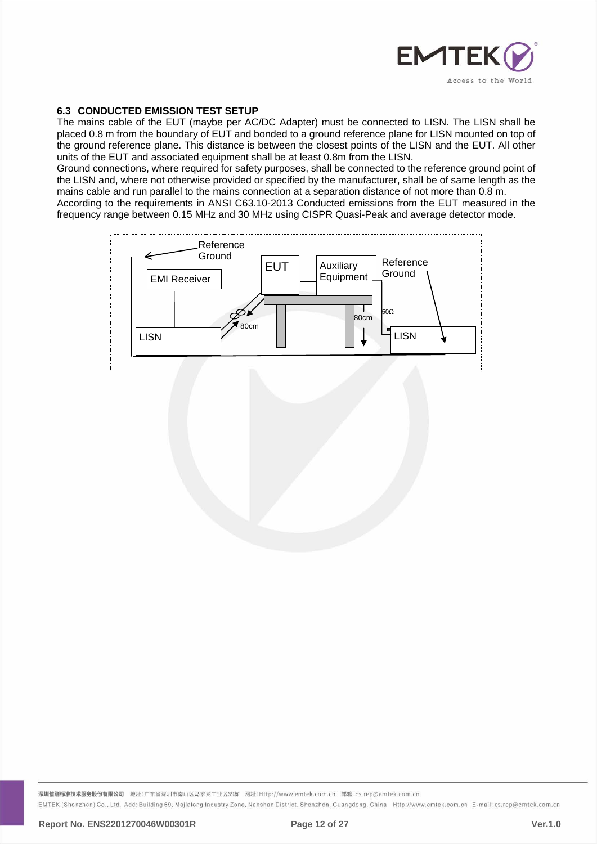

# <span id="page-11-0"></span>**6.3 CONDUCTED EMISSION TEST SETUP**

The mains cable of the EUT (maybe per AC/DC Adapter) must be connected to LISN. The LISN shall be placed 0.8 m from the boundary of EUT and bonded to a ground reference plane for LISN mounted on top of the ground reference plane. This distance is between the closest points of the LISN and the EUT. All other units of the EUT and associated equipment shall be at least 0.8m from the LISN.

Ground connections, where required for safety purposes, shall be connected to the reference ground point of the LISN and, where not otherwise provided or specified by the manufacturer, shall be of same length as the mains cable and run parallel to the mains connection at a separation distance of not more than 0.8 m.

According to the requirements in ANSI C63.10-2013 Conducted emissions from the EUT measured in the frequency range between 0.15 MHz and 30 MHz using CISPR Quasi-Peak and average detector mode.

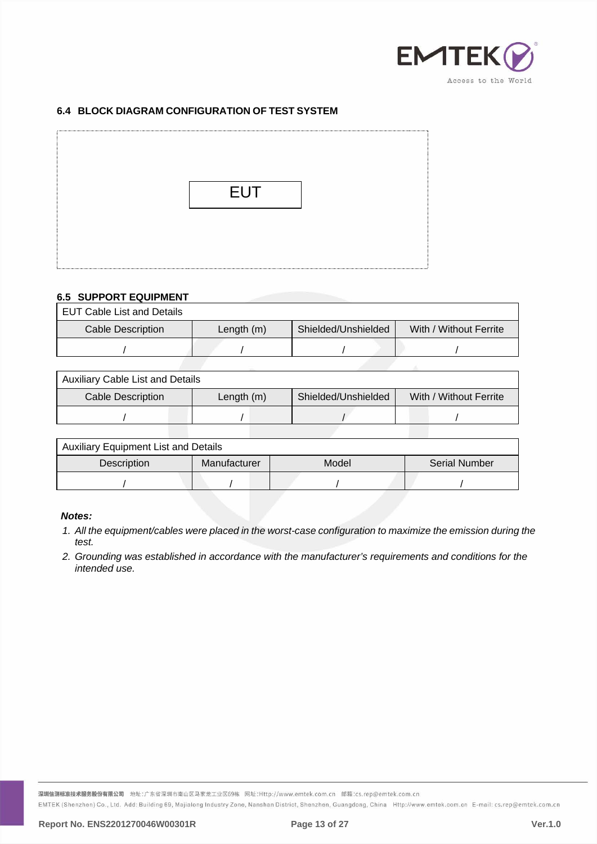

# <span id="page-12-0"></span>**6.4 BLOCK DIAGRAM CONFIGURATION OF TEST SYSTEM**



# <span id="page-12-1"></span>**6.5 SUPPORT EQUIPMENT**

EUT Cable List and Details

| Cable Description | Length $(m)$ | Shielded/Unshielded | With / Without Ferrite |
|-------------------|--------------|---------------------|------------------------|
|                   |              |                     |                        |

| <b>Auxiliary Cable List and Details</b> |              |                     |                        |
|-----------------------------------------|--------------|---------------------|------------------------|
| Cable Description                       | Length $(m)$ | Shielded/Unshielded | With / Without Ferrite |
|                                         |              |                     |                        |
|                                         |              |                     |                        |

| <b>Auxiliary Equipment List and Details</b> |              |       |                      |
|---------------------------------------------|--------------|-------|----------------------|
| Description                                 | Manufacturer | Model | <b>Serial Number</b> |
|                                             |              |       |                      |

### *Notes:*

- *1. All the equipment/cables were placed in the worst-case configuration to maximize the emission during the test.*
- *2. Grounding was established in accordance with the manufacturer's requirements and conditions for the intended use.*

深圳信测标准技术服务股份有限公司 地址:广东省深圳市南山区马家龙工业区69栋 网址:Http://www.emtek.com.cn 邮箱:cs.rep@emtek.com.cn EMTEK (Shenzhen) Co., Ltd. Add: Building 69, Majialong Industry Zone, Nanshan District, Shenzhen, Guangdong, China Http://www.emtek.com.cn E-mail: cs.rep@emtek.com.cn

**Report No. ENS2201270046W00301R Page 13 of 27 Ver.1.0**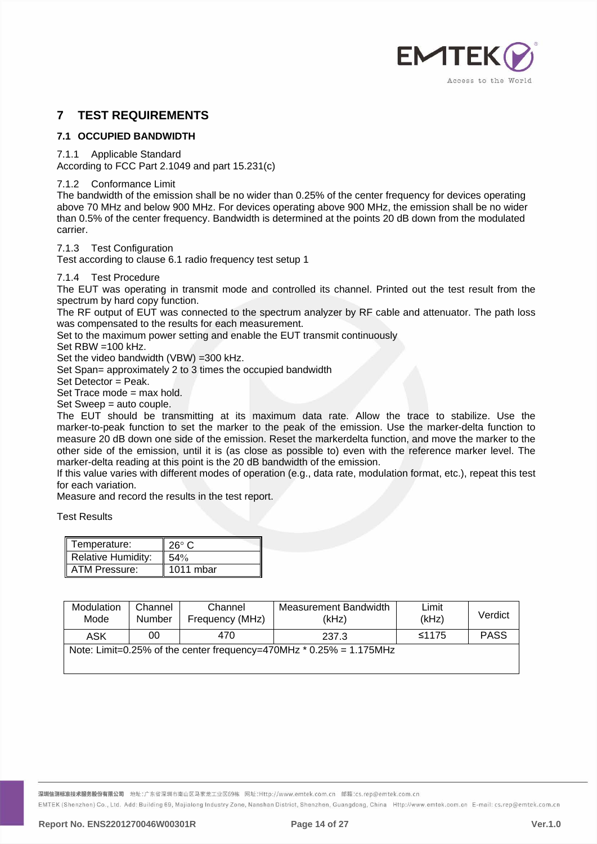

# <span id="page-13-0"></span>**7 TEST REQUIREMENTS**

# <span id="page-13-1"></span>**7.1 OCCUPIED BANDWIDTH**

7.1.1 Applicable Standard

According to FCC Part 2.1049 and part 15.231(c)

7.1.2 Conformance Limit

The bandwidth of the emission shall be no wider than 0.25% of the center frequency for devices operating above 70 MHz and below 900 MHz. For devices operating above 900 MHz, the emission shall be no wider than 0.5% of the center frequency. Bandwidth is determined at the points 20 dB down from the modulated carrier.

7.1.3 Test Configuration

Test according to clause 6.1 radio frequency test setup 1

#### 7.1.4 Test Procedure

The EUT was operating in transmit mode and controlled its channel. Printed out the test result from the spectrum by hard copy function.

The RF output of EUT was connected to the spectrum analyzer by RF cable and attenuator. The path loss was compensated to the results for each measurement.

Set to the maximum power setting and enable the EUT transmit continuously

Set RBW =100 kHz.

Set the video bandwidth (VBW) =300 kHz.

Set Span= approximately 2 to 3 times the occupied bandwidth

Set Detector = Peak.

Set Trace mode = max hold.

Set Sweep = auto couple.

The EUT should be transmitting at its maximum data rate. Allow the trace to stabilize. Use the marker-to-peak function to set the marker to the peak of the emission. Use the marker-delta function to measure 20 dB down one side of the emission. Reset the markerdelta function, and move the marker to the other side of the emission, until it is (as close as possible to) even with the reference marker level. The marker-delta reading at this point is the 20 dB bandwidth of the emission.

If this value varies with different modes of operation (e.g., data rate, modulation format, etc.), repeat this test for each variation.

Measure and record the results in the test report.

Test Results

| Temperature:              | $26^{\circ}$ C |
|---------------------------|----------------|
| <b>Relative Humidity:</b> | 54%            |
| ATM Pressure:             | $1011$ mbar    |

| Modulation<br>Mode | Channel<br>Number | Channel<br>Frequency (MHz) | Measurement Bandwidth<br>(kHz)                                        | Limit<br>(kHz) | Verdict     |
|--------------------|-------------------|----------------------------|-----------------------------------------------------------------------|----------------|-------------|
| ASK                | 00                | 470                        | 237.3                                                                 | ≤1175          | <b>PASS</b> |
|                    |                   |                            | Note: Limit=0.25% of the center frequency=470MHz $*$ 0.25% = 1.175MHz |                |             |

<mark>深圳信测标准技术服务股份有限公司</mark> 地址:广东省深圳市南山区马家龙工业区69栋 网址:Http://www.emtek.com.cn 邮箱:cs.rep@emtek.com.cn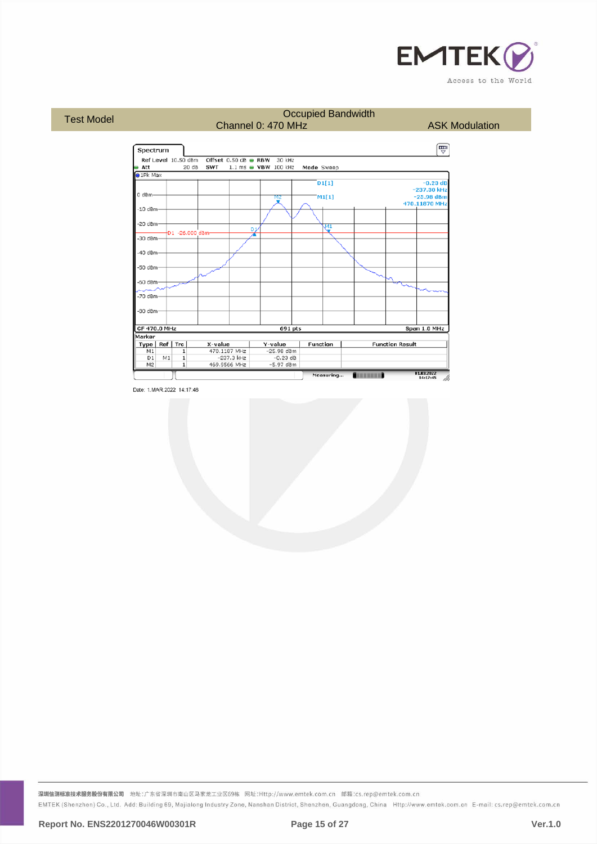

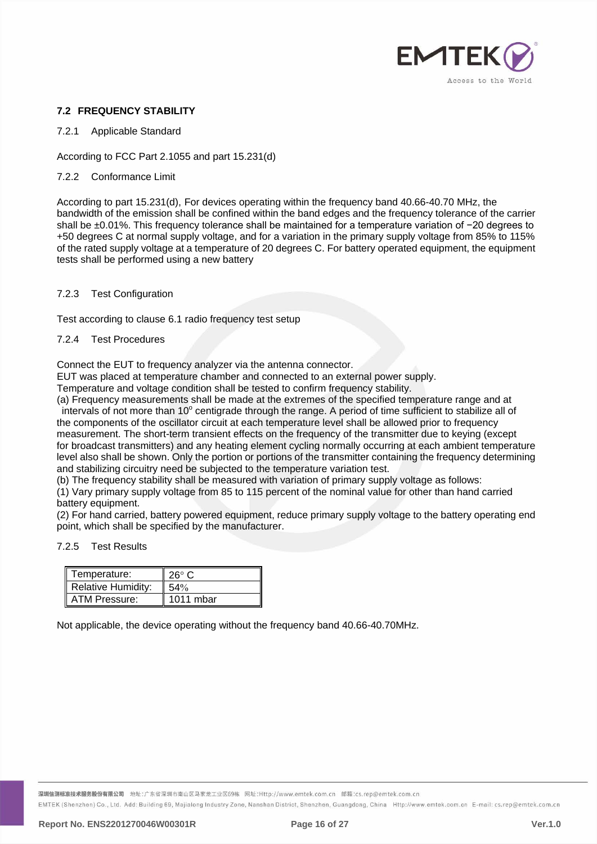

# <span id="page-15-0"></span>**7.2 FREQUENCY STABILITY**

#### 7.2.1 Applicable Standard

According to FCC Part 2.1055 and part 15.231(d)

#### 7.2.2 Conformance Limit

According to part 15.231(d), For devices operating within the frequency band 40.66-40.70 MHz, the bandwidth of the emission shall be confined within the band edges and the frequency tolerance of the carrier shall be ±0.01%. This frequency tolerance shall be maintained for a temperature variation of −20 degrees to +50 degrees C at normal supply voltage, and for a variation in the primary supply voltage from 85% to 115% of the rated supply voltage at a temperature of 20 degrees C. For battery operated equipment, the equipment tests shall be performed using a new battery

#### 7.2.3 Test Configuration

Test according to clause 6.1 radio frequency test setup

#### 7.2.4 Test Procedures

Connect the EUT to frequency analyzer via the antenna connector.

EUT was placed at temperature chamber and connected to an external power supply.

Temperature and voltage condition shall be tested to confirm frequency stability.

(a) Frequency measurements shall be made at the extremes of the specified temperature range and at intervals of not more than 10° centigrade through the range. A period of time sufficient to stabilize all of the components of the oscillator circuit at each temperature level shall be allowed prior to frequency measurement. The short-term transient effects on the frequency of the transmitter due to keying (except

for broadcast transmitters) and any heating element cycling normally occurring at each ambient temperature level also shall be shown. Only the portion or portions of the transmitter containing the frequency determining and stabilizing circuitry need be subjected to the temperature variation test.

(b) The frequency stability shall be measured with variation of primary supply voltage as follows:

(1) Vary primary supply voltage from 85 to 115 percent of the nominal value for other than hand carried battery equipment.

(2) For hand carried, battery powered equipment, reduce primary supply voltage to the battery operating end point, which shall be specified by the manufacturer.

#### 7.2.5 Test Results

| Temperature:              | $26^{\circ}$ C |
|---------------------------|----------------|
| <b>Relative Humidity:</b> | 54%            |
| ATM Pressure:             | 1011 mbar      |

Not applicable, the device operating without the frequency band 40.66-40.70MHz.

<mark>深圳信测标准技术服务股份有限公司</mark> 地址:广东省深圳市南山区马家龙工业区69栋 网址:Http://www.emtek.com.cn 邮箱:cs.rep@emtek.com.cn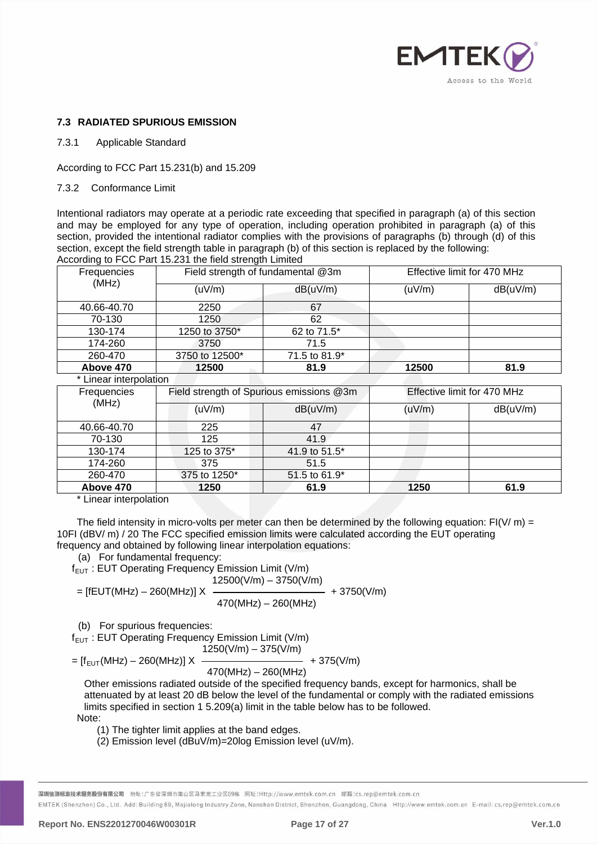

### <span id="page-16-0"></span>**7.3 RADIATED SPURIOUS EMISSION**

7.3.1 Applicable Standard

According to FCC Part 15.231(b) and 15.209

7.3.2 Conformance Limit

Intentional radiators may operate at a periodic rate exceeding that specified in paragraph (a) of this section and may be employed for any type of operation, including operation prohibited in paragraph (a) of this section, provided the intentional radiator complies with the provisions of paragraphs (b) through (d) of this section, except the field strength table in paragraph (b) of this section is replaced by the following: According to FCC Part 15.231 the field strength Limited

| Frequencies            | Field strength of fundamental @3m        |               |        | Effective limit for 470 MHz |
|------------------------|------------------------------------------|---------------|--------|-----------------------------|
| (MHz)                  | (uV/m)                                   | dB(uV/m)      | (uV/m) | dB(uV/m)                    |
| 40.66-40.70            | 2250                                     | 67            |        |                             |
| 70-130                 | 1250                                     | 62            |        |                             |
| 130-174                | 1250 to 3750*                            | 62 to 71.5*   |        |                             |
| 174-260                | 3750                                     | 71.5          |        |                             |
| 260-470                | 3750 to 12500*                           | 71.5 to 81.9* |        |                             |
| Above 470              | 12500                                    | 81.9          | 12500  | 81.9                        |
| * Linear interpolation |                                          |               |        |                             |
| Frequencies            | Field strength of Spurious emissions @3m |               |        | Effective limit for 470 MHz |
| (MHz)                  | (uV/m)                                   | dB(uV/m)      | (uV/m) | dB(uV/m)                    |
| 40.66-40.70            | 225                                      | 47            |        |                             |
| 70-130                 | 125                                      | 41.9          |        |                             |
| 130-174                | 125 to 375*                              | 41.9 to 51.5* |        |                             |
| 174-260                | 375                                      | 51.5          |        |                             |
| 260-470                | 375 to 1250*                             | 51.5 to 61.9* |        |                             |
| Above 470              | 1250                                     | 61.9          | 1250   | 61.9                        |

\* Linear interpolation

The field intensity in micro-volts per meter can then be determined by the following equation:  $F1(V/m) =$ 10FI (dBV/ m) / 20 The FCC specified emission limits were calculated according the EUT operating frequency and obtained by following linear interpolation equations:

(a) For fundamental frequency:

 $f_{FUT}$ : EUT Operating Frequency Emission Limit (V/m)  $12500(1/m) - 3750(1/m)$ 

= [fEUT(MHz) – 260(MHz)] X + 3750(V/m) 470(MHz) – 260(MHz)

(b) For spurious frequencies:

 $f_{EUT}$ : EUT Operating Frequency Emission Limit (V/m)  $1250(V/m) - 375(V/m)$ 

$$
= [f_{EUT}(MHz) - 260(MHz)] \times 470(MHz) - 260(MHz) + 375(V/m)
$$

Other emissions radiated outside of the specified frequency bands, except for harmonics, shall be attenuated by at least 20 dB below the level of the fundamental or comply with the radiated emissions limits specified in section 1 5.209(a) limit in the table below has to be followed.

Note:

(1) The tighter limit applies at the band edges.

(2) Emission level (dBuV/m)=20log Emission level (uV/m).

<mark>深圳信测标准技术服务股份有限公司</mark> 地址:广东省深圳市南山区马家龙工业区69栋 网址:Http://www.emtek.com.cn 邮箱:cs.rep@emtek.com.cn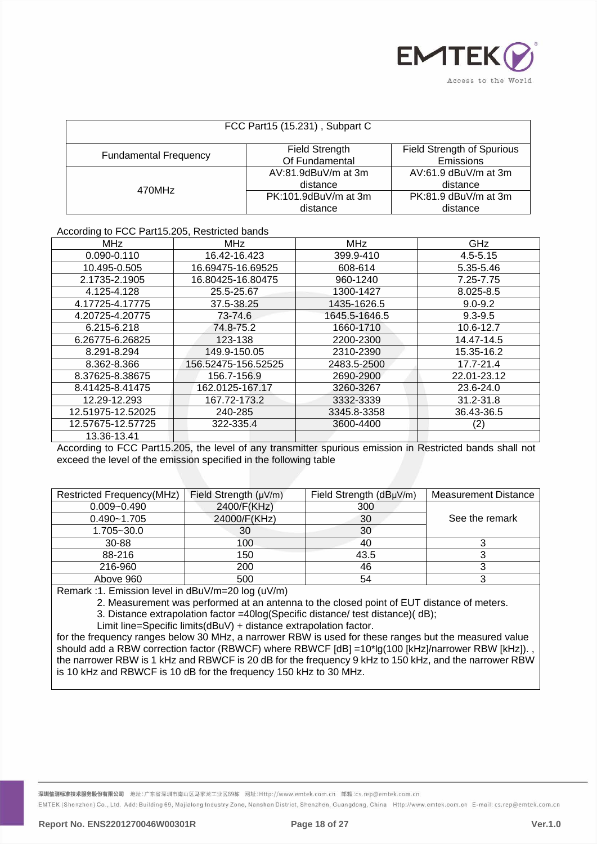

| FCC Part15 (15.231), Subpart C |                                   |                                                |
|--------------------------------|-----------------------------------|------------------------------------------------|
| <b>Fundamental Frequency</b>   | Field Strength<br>Of Fundamental  | <b>Field Strength of Spurious</b><br>Emissions |
| 470MHz                         | $AV:81.9dBuV/m$ at 3m<br>distance | $AV:61.9$ dBuV/m at 3m<br>distance             |
|                                | PK:101.9dBuV/m at 3m<br>distance  | $PK:81.9$ dBuV/m at 3m<br>distance             |

#### According to FCC Part15.205, Restricted bands

| MHz               | <b>MHz</b>          | <b>MHz</b>    | GHz          |
|-------------------|---------------------|---------------|--------------|
| 0.090-0.110       | 16.42-16.423        | 399.9-410     | $4.5 - 5.15$ |
| 10.495-0.505      | 16.69475-16.69525   | 608-614       | 5.35-5.46    |
| 2.1735-2.1905     | 16.80425-16.80475   | 960-1240      | 7.25-7.75    |
| 4.125-4.128       | 25.5-25.67          | 1300-1427     | 8.025-8.5    |
| 4.17725-4.17775   | 37.5-38.25          | 1435-1626.5   | $9.0 - 9.2$  |
| 4.20725-4.20775   | 73-74.6             | 1645.5-1646.5 | $9.3 - 9.5$  |
| 6.215-6.218       | 74.8-75.2           | 1660-1710     | 10.6-12.7    |
| 6.26775-6.26825   | 123-138             | 2200-2300     | 14.47-14.5   |
| 8.291-8.294       | 149.9-150.05        | 2310-2390     | 15.35-16.2   |
| 8.362-8.366       | 156.52475-156.52525 | 2483.5-2500   | 17.7-21.4    |
| 8.37625-8.38675   | 156.7-156.9         | 2690-2900     | 22.01-23.12  |
| 8.41425-8.41475   | 162.0125-167.17     | 3260-3267     | 23.6-24.0    |
| 12.29-12.293      | 167.72-173.2        | 3332-3339     | 31.2-31.8    |
| 12.51975-12.52025 | 240-285             | 3345.8-3358   | 36.43-36.5   |
| 12.57675-12.57725 | 322-335.4           | 3600-4400     | (2)          |
| 13.36-13.41       |                     |               |              |

According to FCC Part15.205, the level of any transmitter spurious emission in Restricted bands shall not exceed the level of the emission specified in the following table

| Restricted Frequency(MHz) | Field Strength $(\mu V/m)$ | Field Strength (dBµV/m) | <b>Measurement Distance</b> |
|---------------------------|----------------------------|-------------------------|-----------------------------|
| $0.009 - 0.490$           | 2400/F(KHz)                | 300                     |                             |
| $0.490 - 1.705$           | 24000/F(KHz)               | 30                      | See the remark              |
| 1.705~30.0                | 30                         | 30                      |                             |
| 30-88                     | 100                        | 40                      |                             |
| 88-216                    | 150                        | 43.5                    |                             |
| 216-960                   | 200                        | 46                      |                             |
| Above 960                 | 500                        | 54                      |                             |

Remark :1. Emission level in dBuV/m=20 log (uV/m)

2. Measurement was performed at an antenna to the closed point of EUT distance of meters.

3. Distance extrapolation factor =40log(Specific distance/ test distance)( dB);

Limit line=Specific limits(dBuV) + distance extrapolation factor.

for the frequency ranges below 30 MHz, a narrower RBW is used for these ranges but the measured value should add a RBW correction factor (RBWCF) where RBWCF [dB] =10\*lg(100 [kHz]/narrower RBW [kHz])., the narrower RBW is 1 kHz and RBWCF is 20 dB for the frequency 9 kHz to 150 kHz, and the narrower RBW is 10 kHz and RBWCF is 10 dB for the frequency 150 kHz to 30 MHz.

<mark>深圳信测标准技术服务股份有限公司</mark> 地址:广东省深圳市南山区马家龙工业区69栋 网址:Http://www.emtek.com.cn 邮箱:cs.rep@emtek.com.cn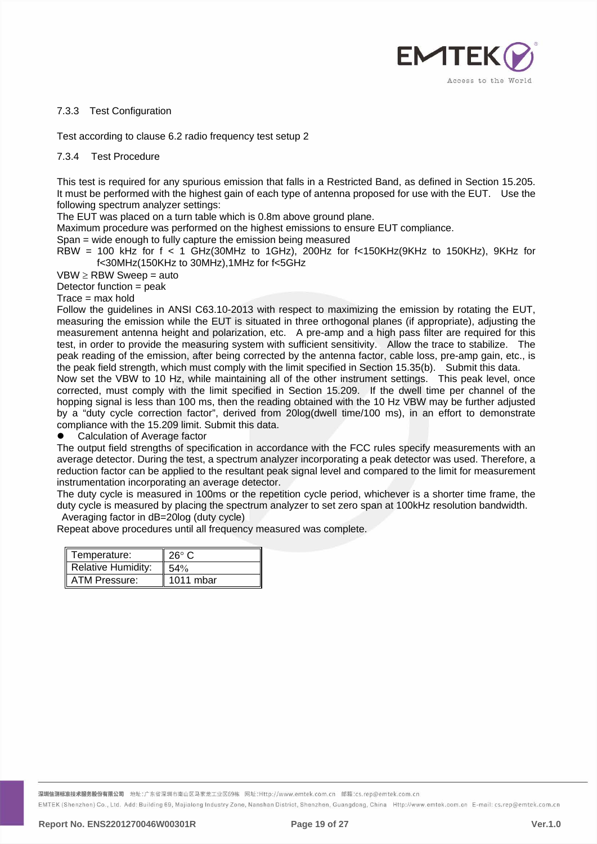

#### 7.3.3 Test Configuration

Test according to clause 6.2 radio frequency test setup 2

#### 7.3.4 Test Procedure

This test is required for any spurious emission that falls in a Restricted Band, as defined in Section 15.205. It must be performed with the highest gain of each type of antenna proposed for use with the EUT. Use the following spectrum analyzer settings:

The EUT was placed on a turn table which is 0.8m above ground plane.

Maximum procedure was performed on the highest emissions to ensure EUT compliance.

Span = wide enough to fully capture the emission being measured

RBW = 100 kHz for  $f < 1$  GHz(30MHz to 1GHz), 200Hz for f<150KHz(9KHz to 150KHz), 9KHz for f<30MHz(150KHz to 30MHz),1MHz for f<5GHz

 $VBW \geq RBW$  Sweep = auto

Detector function = peak

 $Trace = max$  hold

Follow the guidelines in ANSI C63.10-2013 with respect to maximizing the emission by rotating the EUT, measuring the emission while the EUT is situated in three orthogonal planes (if appropriate), adjusting the measurement antenna height and polarization, etc. A pre-amp and a high pass filter are required for this test, in order to provide the measuring system with sufficient sensitivity. Allow the trace to stabilize. The peak reading of the emission, after being corrected by the antenna factor, cable loss, pre-amp gain, etc., is the peak field strength, which must comply with the limit specified in Section 15.35(b). Submit this data. Now set the VBW to 10 Hz, while maintaining all of the other instrument settings. This peak level, once corrected, must comply with the limit specified in Section 15.209. If the dwell time per channel of the hopping signal is less than 100 ms, then the reading obtained with the 10 Hz VBW may be further adjusted by a "duty cycle correction factor", derived from 20log(dwell time/100 ms), in an effort to demonstrate

compliance with the 15.209 limit. Submit this data.

Calculation of Average factor

The output field strengths of specification in accordance with the FCC rules specify measurements with an average detector. During the test, a spectrum analyzer incorporating a peak detector was used. Therefore, a reduction factor can be applied to the resultant peak signal level and compared to the limit for measurement instrumentation incorporating an average detector.

The duty cycle is measured in 100ms or the repetition cycle period, whichever is a shorter time frame, the duty cycle is measured by placing the spectrum analyzer to set zero span at 100kHz resolution bandwidth.

Averaging factor in dB=20log (duty cycle)

Repeat above procedures until all frequency measured was complete.

| Temperature:              | $26^{\circ}$ C |
|---------------------------|----------------|
| <b>Relative Humidity:</b> | 54%            |
| ATM Pressure:             | $1011$ mbar    |

<mark>深圳信测标准技术服务股份有限公司</mark> 地址:广东省深圳市南山区马家龙工业区69栋 网址:Http://www.emtek.com.cn 邮箱:cs.rep@emtek.com.cn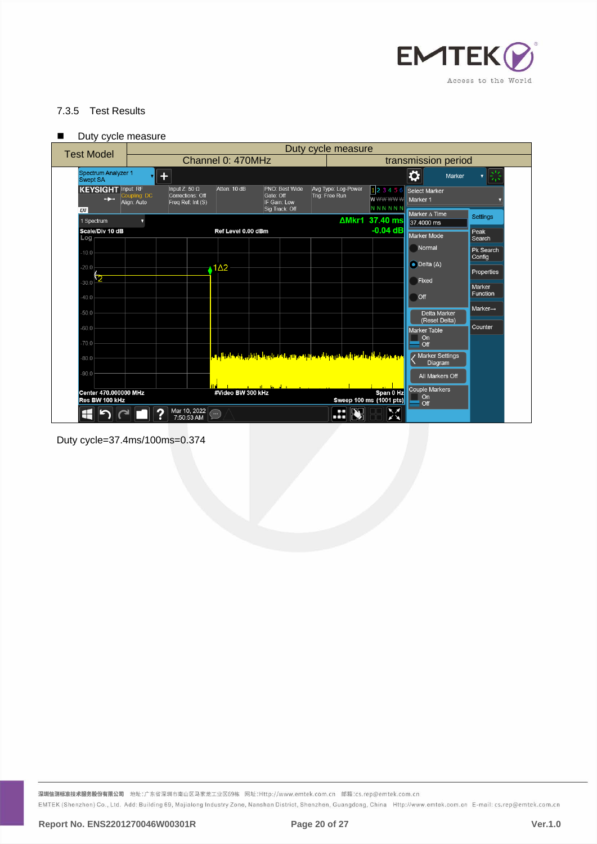

# 7.3.5 Test Results

|  |  |  | Duty cycle measure |
|--|--|--|--------------------|
|--|--|--|--------------------|

| <b>Test Model</b>                                 | Duty cycle measure                                  |                                                                                          |                                                                                                              |                                       |                                                 |                                    |                      |  |
|---------------------------------------------------|-----------------------------------------------------|------------------------------------------------------------------------------------------|--------------------------------------------------------------------------------------------------------------|---------------------------------------|-------------------------------------------------|------------------------------------|----------------------|--|
|                                                   |                                                     | Channel 0: 470MHz                                                                        |                                                                                                              | transmission period                   |                                                 |                                    |                      |  |
| Spectrum Analyzer 1<br><b>Swept SA</b>            | $\ddot{\phantom{1}}$                                |                                                                                          |                                                                                                              |                                       |                                                 | ♦<br>Marker                        |                      |  |
| <b>KEYSIGHT</b> Input: RF<br>$\rightarrow$<br>LVI | Input Z: $50 \Omega$<br>Coupling: DC<br>Align: Auto | Atten: 10 dB<br>Corrections: Off<br>Freq Ref: Int (S)                                    | PNO: Best Wide<br>Gate: Off<br>IF Gain: Low<br>Sig Track: Off                                                | Avg Type: Log-Power<br>Trig: Free Run | $1$ 2 3 4 5 6<br><b>WWWWWW</b><br><b>NNNNNN</b> | Select Marker<br>Marker 1          |                      |  |
| 1 Spectrum                                        | Ω                                                   |                                                                                          |                                                                                                              |                                       | ΔMkr1 37.40 ms                                  | Marker ∆ Time<br>37.4000 ms        | <b>Settings</b>      |  |
| Scale/Div 10 dB<br>Log                            |                                                     | Ref Level 0.00 dBm                                                                       |                                                                                                              |                                       | $-0.04$ dB                                      | Marker Mode                        | Peak<br>Search       |  |
| $-10.0$                                           |                                                     |                                                                                          |                                                                                                              |                                       |                                                 | Normal                             | Pk Search            |  |
| $-20.0$                                           |                                                     | $1\Delta2$                                                                               |                                                                                                              |                                       |                                                 | $\bigcirc$ Delta ( $\Delta$ )      | Config               |  |
| 30.0 2                                            |                                                     |                                                                                          |                                                                                                              |                                       |                                                 | Fixed                              | Properties           |  |
| $-40.0$                                           |                                                     |                                                                                          |                                                                                                              |                                       |                                                 | Off                                | Marker<br>Function   |  |
| $-50.0$                                           |                                                     |                                                                                          |                                                                                                              |                                       |                                                 | <b>Delta Marker</b>                | Marker $\rightarrow$ |  |
| $-60.0$                                           |                                                     |                                                                                          |                                                                                                              |                                       |                                                 | (Reset Delta)                      | Counter              |  |
| $-70.0$                                           |                                                     |                                                                                          |                                                                                                              |                                       |                                                 | <b>Marker Table</b><br>On          |                      |  |
|                                                   |                                                     |                                                                                          | وموهد ونيم لعالب والمصر زاروه ومربوع والمحمد والبندي سيبها وأمسرا وبراء وإنا با <sub>روه</sub> بند المرائل و |                                       |                                                 | Off<br>/ Marker Settings           |                      |  |
| $-80.0$                                           |                                                     |                                                                                          |                                                                                                              |                                       |                                                 | Diagram                            |                      |  |
| $-90.0$                                           |                                                     |                                                                                          |                                                                                                              |                                       |                                                 | All Markers Off                    |                      |  |
| Center 470,000000 MHz<br>Res BW 100 kHz           |                                                     | #Video BW 300 kHz                                                                        |                                                                                                              |                                       | Span 0 Hz<br>Sweep 100 ms (1001 pts)            | <b>Couple Markers</b><br>On<br>Off |                      |  |
|                                                   |                                                     | Mar 10, 2022<br>$\left(\begin{smallmatrix} \dots \end{smallmatrix}\right)$<br>7:50:53 AM |                                                                                                              | Œ<br>il j                             | $\mathbf{K}$                                    |                                    |                      |  |

Duty cycle=37.4ms/100ms=0.374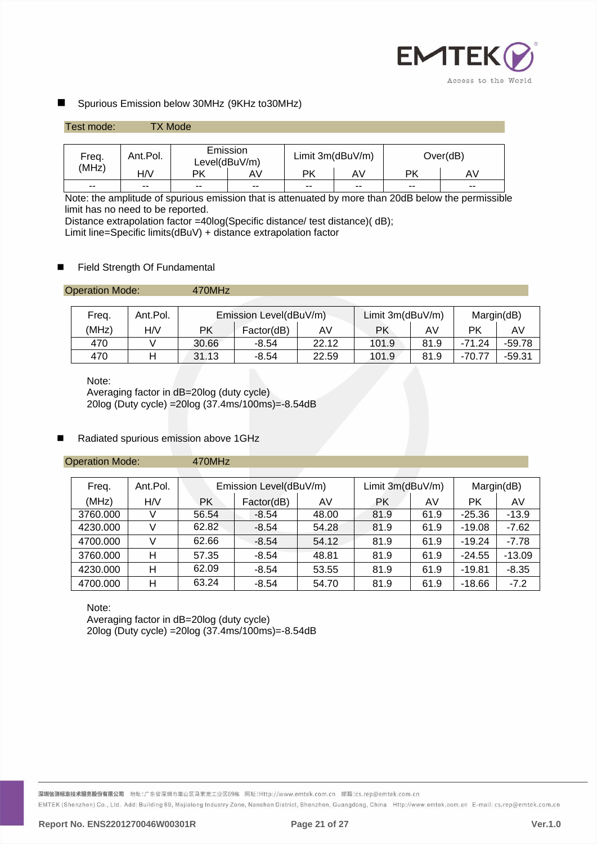

# Spurious Emission below 30MHz (9KHz to30MHz)

| Test mode: |          | <b>TX Mode</b> |                           |                  |               |           |          |
|------------|----------|----------------|---------------------------|------------------|---------------|-----------|----------|
|            |          |                |                           |                  |               |           |          |
| Freq.      | Ant.Pol. |                | Emission<br>Level(dBuV/m) | Limit 3m(dBuV/m) |               |           | Over(dB) |
| (MHz)      | H/V      | РK             | AV                        | <b>PK</b>        | AV            | <b>PK</b> | AV.      |
| $- -$      | $- -$    | $- -$          | $\sim$ $\sim$             | $- -$            | $\sim$ $\sim$ | $-$       | $- -$    |

Note: the amplitude of spurious emission that is attenuated by more than 20dB below the permissible limit has no need to be reported.

Distance extrapolation factor =40log(Specific distance/ test distance)( dB);

Limit line=Specific limits(dBuV) + distance extrapolation factor

# Field Strength Of Fundamental

Operation Mode: 470MHz

| Freq. | Ant.Pol. |       | Emission Level(dBuV/m) |       | Limit 3m(dBuV/m) |      | Margin(dB) |          |
|-------|----------|-------|------------------------|-------|------------------|------|------------|----------|
| (MHz) | H/V      | РK    | Factor(dB)             | AV    | РK               | AV.  | РK         | AV       |
| 470   |          | 30.66 | -8.54                  | 22.12 | 101.9            | 81.9 | $-71.24$   | -59.78   |
| 470   |          | 31.13 | -8.54                  | 22.59 | 101.9            | 81.9 | $-70.77$   | $-59.31$ |

Note:

Averaging factor in dB=20log (duty cycle) 20log (Duty cycle) =20log (37.4ms/100ms)=-8.54dB

# Radiated spurious emission above 1GHz

Operation Mode: 470MHz

| Freq.    | Ant.Pol. |           | Emission Level(dBuV/m) |       | Limit 3m(dBuV/m) |      | Margin(dB) |          |
|----------|----------|-----------|------------------------|-------|------------------|------|------------|----------|
| (MHz)    | H/V      | <b>PK</b> | Factor(dB)             | AV    | РK               | AV   | РK         | AV       |
| 3760.000 |          | 56.54     | $-8.54$                | 48.00 | 81.9             | 61.9 | $-25.36$   | $-13.9$  |
| 4230.000 |          | 62.82     | $-8.54$                | 54.28 | 81.9             | 61.9 | $-19.08$   | $-7.62$  |
| 4700.000 |          | 62.66     | $-8.54$                | 54.12 | 81.9             | 61.9 | $-19.24$   | $-7.78$  |
| 3760.000 | н        | 57.35     | $-8.54$                | 48.81 | 81.9             | 61.9 | $-24.55$   | $-13.09$ |
| 4230.000 | н        | 62.09     | $-8.54$                | 53.55 | 81.9             | 61.9 | $-19.81$   | $-8.35$  |
| 4700.000 | н        | 63.24     | $-8.54$                | 54.70 | 81.9             | 61.9 | $-18.66$   | $-7.2$   |

Note:

Averaging factor in dB=20log (duty cycle) 20log (Duty cycle) =20log (37.4ms/100ms)=-8.54dB

深圳信测标准技术服务股份有限公司 地址:广东省深圳市南山区马家龙工业区69栋 网址:Http://www.emtek.com.cn 邮箱:cs.rep@emtek.com.cn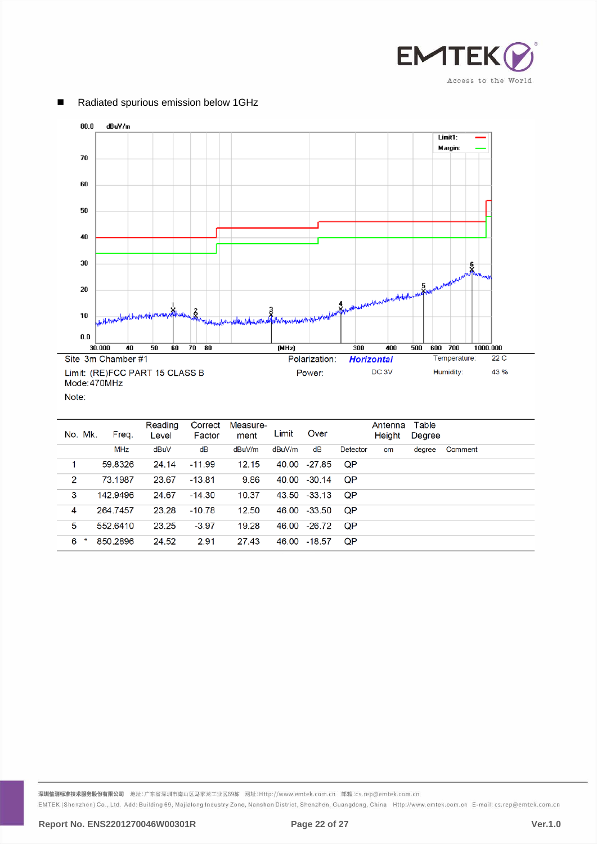



# Radiated spurious emission below 1GHz

| No. Mk. | Freq.      | Reading<br>Level | Correct<br>Factor | Measure-<br>ment | Limit  | Over         |           | Antenna<br>Height | Table<br>Degree |         |
|---------|------------|------------------|-------------------|------------------|--------|--------------|-----------|-------------------|-----------------|---------|
|         | <b>MHz</b> | dBuV             | dB                | dBuV/m           | dBuV/m | dB           | Detector  | cm                | degree          | Comment |
|         | 59.8326    | 24.14            | $-11.99$          | 12.15            | 40.00  | -27.85       | QP        |                   |                 |         |
| 2       | 73.1987    | 23.67            | -13.81            | 9.86             | 40.00  | $-30.14$     | <b>OP</b> |                   |                 |         |
| 3       | 142.9496   | 24.67            | $-14.30$          | 10.37            |        | 43.50 -33.13 | <b>QP</b> |                   |                 |         |
| 4       | 264.7457   | 23.28            | $-10.78$          | 12.50            | 46.00  | -33.50       | <b>QP</b> |                   |                 |         |
| 5       | 552.6410   | 23.25            | $-3.97$           | 19.28            | 46.00  | -26.72       | <b>QP</b> |                   |                 |         |
| 6       | 850.2896   | 24.52            | 2.91              | 27.43            | 46.00  | -18.57       | QP        |                   |                 |         |

深圳信测标准技术服务股份有限公司 地址:广东省深圳市南山区马家龙工业区69栋 网址:Http://www.emtek.com.cn 邮箱:cs.rep@emtek.com.cn EMTEK (Shenzhen) Co., Ltd. Add: Building 69, Majialong Industry Zone, Nanshan District, Shenzhen, Guangdong, China Http://www.emtek.com.cn E-mail: cs.rep@emtek.com.cn

**Report No. ENS2201270046W00301R Page 22 of 27 Ver.1.0**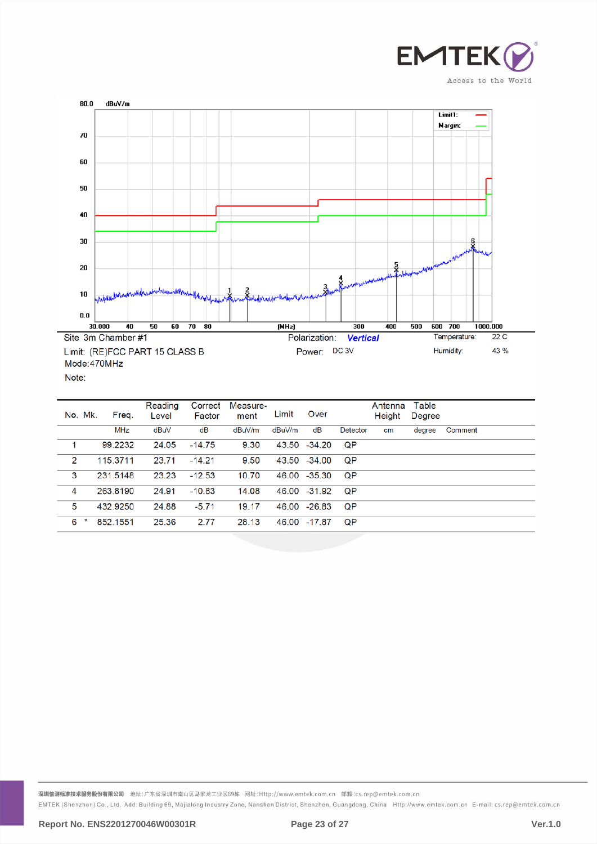



Note:

| No. Mk. | Freq.      | Reading<br>Level | Correct<br>Factor | Measure-<br>ment | Limit  | Over         |           | Antenna<br>Height | Table<br>Degree |         |
|---------|------------|------------------|-------------------|------------------|--------|--------------|-----------|-------------------|-----------------|---------|
|         | <b>MHz</b> | dBuV             | dB                | dBuV/m           | dBuV/m | dB           | Detector  | cm                | degree          | Comment |
|         | 99.2232    | 24.05            | $-14.75$          | 9.30             |        | 43.50 -34.20 | QP        |                   |                 |         |
| 2       | 115.3711   | 23.71            | $-14.21$          | 9.50             |        | 43.50 -34.00 | QP        |                   |                 |         |
| 3       | 231.5148   | 23.23            | $-12.53$          | 10.70            | 46.00  | -35.30       | QP        |                   |                 |         |
| 4       | 263.8190   | 24.91            | $-10.83$          | 14.08            |        | 46.00 -31.92 | <b>QP</b> |                   |                 |         |
| 5       | 432.9250   | 24.88            | $-5.71$           | 19.17            | 46.00  | $-26.83$     | QP        |                   |                 |         |
| 6       | 852.1551   | 25.36            | 2.77              | 28.13            | 46.00  | $-17.87$     | QP        |                   |                 |         |

深圳信测标准技术服务股份有限公司 地址:广东省深圳市南山区马家龙工业区69栋 网址:Http://www.emtek.com.cn 邮箱:cs.rep@emtek.com.cn EMTEK (Shenzhen) Co., Ltd. Add: Building 69, Majialong Industry Zone, Nanshan District, Shenzhen, Guangdong, China Http://www.emtek.com.cn E-mail: cs.rep@emtek.com.cn

**Report No. ENS2201270046W00301R Page 23 of 27 Ver.1.0**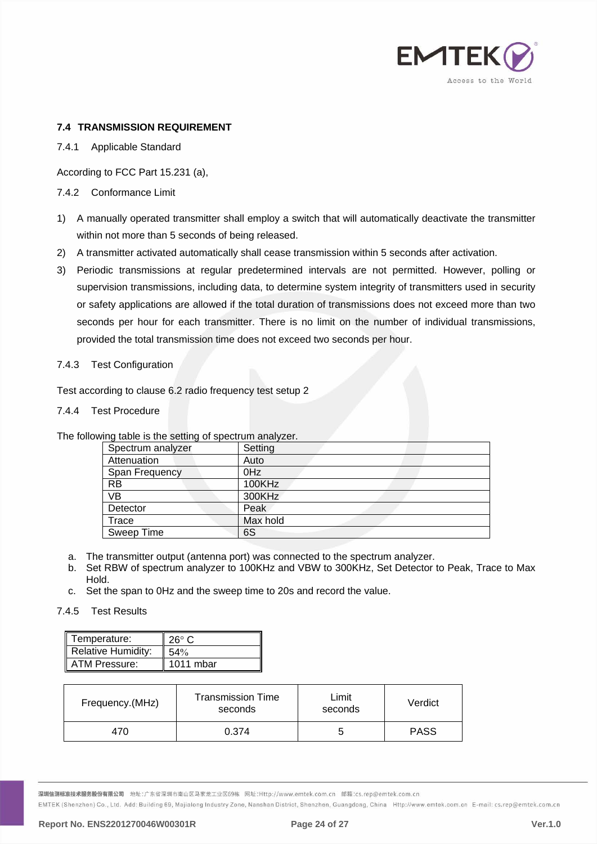

# <span id="page-23-0"></span>**7.4 TRANSMISSION REQUIREMENT**

### 7.4.1 Applicable Standard

According to FCC Part 15.231 (a),

# 7.4.2 Conformance Limit

- 1) A manually operated transmitter shall employ a switch that will automatically deactivate the transmitter within not more than 5 seconds of being released.
- 2) A transmitter activated automatically shall cease transmission within 5 seconds after activation.
- 3) Periodic transmissions at regular predetermined intervals are not permitted. However, polling or supervision transmissions, including data, to determine system integrity of transmitters used in security or safety applications are allowed if the total duration of transmissions does not exceed more than two seconds per hour for each transmitter. There is no limit on the number of individual transmissions, provided the total transmission time does not exceed two seconds per hour.

# 7.4.3 Test Configuration

Test according to clause 6.2 radio frequency test setup 2

#### 7.4.4 Test Procedure

The following table is the setting of spectrum analyzer.

| ີ                 |                 |
|-------------------|-----------------|
| Spectrum analyzer | Setting         |
| Attenuation       | Auto            |
| Span Frequency    | 0 <sub>Hz</sub> |
| <b>RB</b>         | 100KHz          |
| <b>VB</b>         | 300KHz          |
| Detector          | Peak            |
| Trace             | Max hold        |
| Sweep Time        | 6S              |

- a. The transmitter output (antenna port) was connected to the spectrum analyzer.
- b. Set RBW of spectrum analyzer to 100KHz and VBW to 300KHz, Set Detector to Peak, Trace to Max Hold.
- c. Set the span to 0Hz and the sweep time to 20s and record the value.

# 7.4.5 Test Results

| Temperature:              | $26^\circ$ C |
|---------------------------|--------------|
| <b>Relative Humidity:</b> | $54\%$       |
| ATM Pressure:             | $1011$ mbar  |

| Frequency.(MHz) | <b>Transmission Time</b><br>seconds | Limit<br>seconds | Verdict     |
|-----------------|-------------------------------------|------------------|-------------|
| 470             | 0.374                               | b                | <b>PASS</b> |

<mark>深圳信测标准技术服务股份有限公司</mark> 地址:广东省深圳市南山区马家龙工业区69栋 网址:Http://www.emtek.com.cn 邮箱:cs.rep@emtek.com.cn

EMTEK (Shenzhen) Co., Ltd. Add: Building 69, Majialong Industry Zone, Nanshan District, Shenzhen, Guangdong, China Http://www.emtek.com.cn E-mail: cs.rep@emtek.com.cn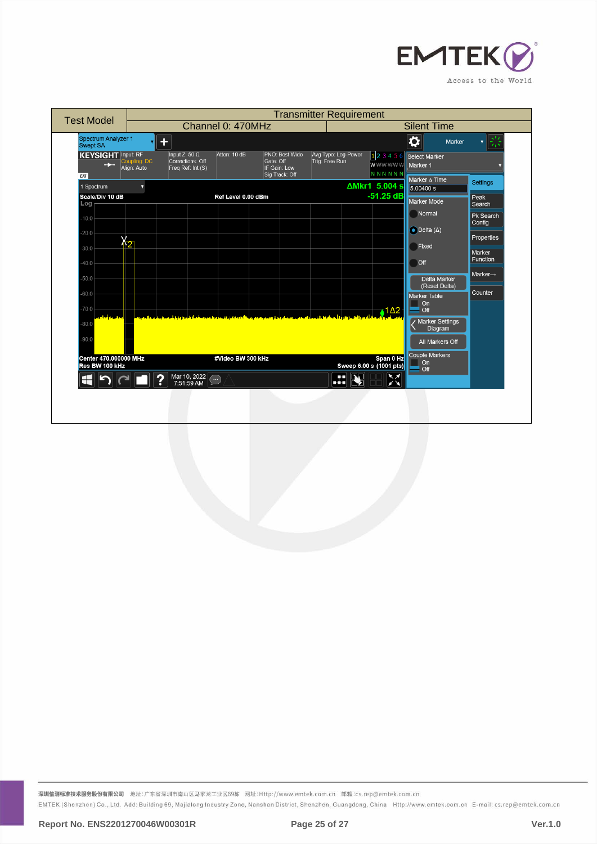

| <b>Test Model</b>                                                                    | <b>Transmitter Requirement</b>                                                |                                                               |                                       |                                                                                                                                                                          |                                                                                                   |  |
|--------------------------------------------------------------------------------------|-------------------------------------------------------------------------------|---------------------------------------------------------------|---------------------------------------|--------------------------------------------------------------------------------------------------------------------------------------------------------------------------|---------------------------------------------------------------------------------------------------|--|
|                                                                                      | Channel 0: 470MHz                                                             |                                                               |                                       | <b>Silent Time</b>                                                                                                                                                       |                                                                                                   |  |
| Spectrum Analyzer 1<br>Swept SA                                                      | $+$                                                                           |                                                               |                                       | $\overline{\mathbf{Q}}$<br>Marker                                                                                                                                        | 崇<br>$\overline{\mathbf{v}}$                                                                      |  |
| <b>KEYSIGHT</b> Input: RF<br>Coupling: DC<br>Align: Auto<br><b>LXI</b>               | Input Z: 50 $\Omega$<br>Atten: 10 dB<br>Corrections: Off<br>Freq Ref: Int (S) | PNO: Best Wide<br>Gate: Off<br>IF Gain: Low<br>Sig Track: Off | Avg Type: Log-Power<br>Trig: Free Run | 123456<br>Select Marker<br>wwwww<br>Marker 1<br><b>NNNNNN</b>                                                                                                            |                                                                                                   |  |
| 1 Spectrum                                                                           | ▼                                                                             |                                                               | ΔMkr1 5.004 s                         | Marker A Time<br>5.00400 s                                                                                                                                               | <b>Settings</b>                                                                                   |  |
| Scale/Div 10 dB<br>Log<br>$-10.0$<br>$-20.0$<br>^2।<br>$-30.0$<br>$-40.0$<br>$-50.0$ | Ref Level 0.00 dBm                                                            |                                                               |                                       | $-51.25$ dB<br>Marker Mode<br>Normal<br>$\bigcirc$ Delta ( $\Delta$ )<br>Fixed<br>Off<br><b>Delta Marker</b>                                                             | Peak<br>Search<br>Pk Search<br>Config<br>Properties<br>Marker<br>Function<br>$Market \rightarrow$ |  |
| $-60.0$<br>$-70.0$<br>$-80.0$<br>$-90.0$<br>Center 470.000000 MHz<br>Res BW 100 kHz  | #Video BW 300 kHz                                                             |                                                               | Sweep 6.00 s (1001 pts)               | (Reset Delta)<br><b>Marker Table</b><br>On<br>$\triangle$ 1 $\triangle$ 2<br>Off<br>/ Marker Settings<br>Diagram<br>All Markers Off<br>Couple Markers<br>Span 0 Hz<br>On | Counter                                                                                           |  |
|                                                                                      | Mar 10, 2022<br>7:51:59 AM<br>2<br>$\bigodot$                                 |                                                               | Æ                                     | Off<br>$\sum_{k=1}^{N}$                                                                                                                                                  |                                                                                                   |  |
|                                                                                      |                                                                               |                                                               |                                       |                                                                                                                                                                          |                                                                                                   |  |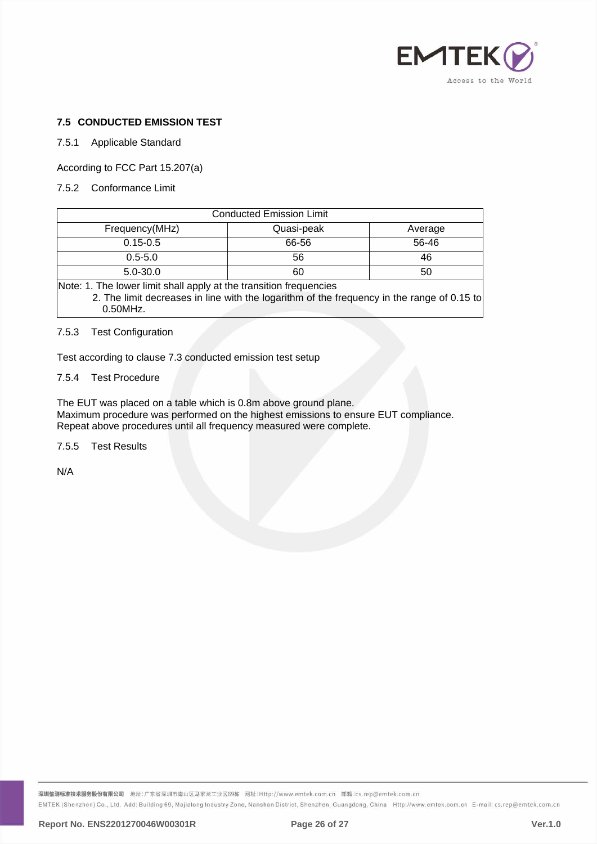

### <span id="page-25-0"></span>**7.5 CONDUCTED EMISSION TEST**

#### 7.5.1 Applicable Standard

According to FCC Part 15.207(a)

7.5.2 Conformance Limit

| <b>Conducted Emission Limit</b> |            |         |  |  |  |  |
|---------------------------------|------------|---------|--|--|--|--|
| Frequency(MHz)                  | Quasi-peak | Average |  |  |  |  |
| 66-56<br>$0.15 - 0.5$<br>56-46  |            |         |  |  |  |  |
| $0.5 - 5.0$                     | 56         | 46      |  |  |  |  |
| $5.0 - 30.0$<br>60<br>50        |            |         |  |  |  |  |
| .<br>.<br>--                    | $\cdots$   |         |  |  |  |  |

Note: 1. The lower limit shall apply at the transition frequencies 2. The limit decreases in line with the logarithm of the frequency in the range of 0.15 to 0.50MHz.

#### 7.5.3 Test Configuration

Test according to clause 7.3 conducted emission test setup

### 7.5.4 Test Procedure

The EUT was placed on a table which is 0.8m above ground plane. Maximum procedure was performed on the highest emissions to ensure EUT compliance. Repeat above procedures until all frequency measured were complete.

7.5.5 Test Results

N/A

<mark>深圳信测标准技术服务股份有限公司</mark> 地址:广东省深圳市南山区马家龙工业区69栋 网址:Http://www.emtek.com.cn 邮箱:cs.rep@emtek.com.cn